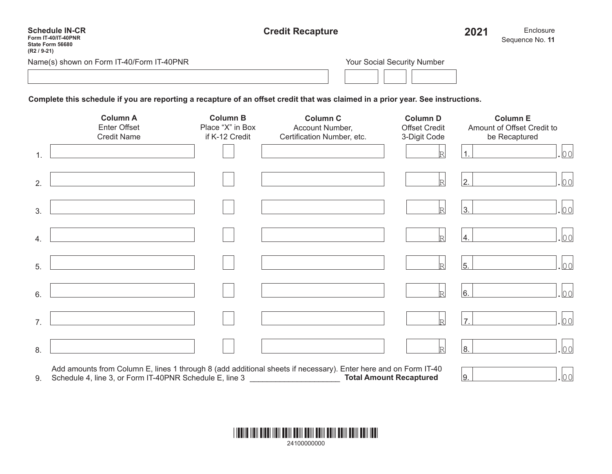| <b>Schedule IN-CR</b><br>Form IT-40/IT-40PNR<br>State Form 56680<br>$(R2/9-21)$ | <b>Credit Recapture</b>     | 2021 | Enclosure<br>Sequence No. 11 |
|---------------------------------------------------------------------------------|-----------------------------|------|------------------------------|
| Name(s) shown on Form IT-40/Form IT-40PNR                                       | Your Social Security Number |      |                              |

**Complete this schedule if you are reporting a recapture of an offset credit that was claimed in a prior year. See instructions.** 

|                  | <b>Column A</b><br><b>Enter Offset</b><br><b>Credit Name</b>                                                                                                               | <b>Column B</b><br>Place "X" in Box<br>if K-12 Credit | <b>Column C</b><br>Account Number,<br>Certification Number, etc. | <b>Column D</b><br><b>Offset Credit</b><br>3-Digit Code | <b>Column E</b><br>Amount of Offset Credit to<br>be Recaptured |
|------------------|----------------------------------------------------------------------------------------------------------------------------------------------------------------------------|-------------------------------------------------------|------------------------------------------------------------------|---------------------------------------------------------|----------------------------------------------------------------|
| $\mathbf 1$      |                                                                                                                                                                            |                                                       |                                                                  | R                                                       | 00                                                             |
| 2.               |                                                                                                                                                                            |                                                       |                                                                  | $\mathbb R$                                             | $ _{00} $<br> 2.                                               |
| 3.               |                                                                                                                                                                            |                                                       |                                                                  | R                                                       | $ _{00}$<br>3.                                                 |
| $\overline{4}$ . |                                                                                                                                                                            |                                                       |                                                                  | R                                                       | 00 <br>4.                                                      |
| 5.               |                                                                                                                                                                            |                                                       |                                                                  | $\mathbb R$                                             | . 00<br>5.                                                     |
| 6.               |                                                                                                                                                                            |                                                       |                                                                  | R                                                       | $ _{00}$<br>6.                                                 |
| 7 <sub>1</sub>   |                                                                                                                                                                            |                                                       |                                                                  | R                                                       | 00<br>$\overline{7}$ .                                         |
| 8.               |                                                                                                                                                                            |                                                       |                                                                  | R                                                       | $\overline{\circ}$<br>8.                                       |
| 9.               | Add amounts from Column E, lines 1 through 8 (add additional sheets if necessary). Enter here and on Form IT-40<br>Schedule 4, line 3, or Form IT-40PNR Schedule E, line 3 |                                                       |                                                                  | <b>Total Amount Recaptured</b>                          | <u>lo ol</u><br>9.                                             |

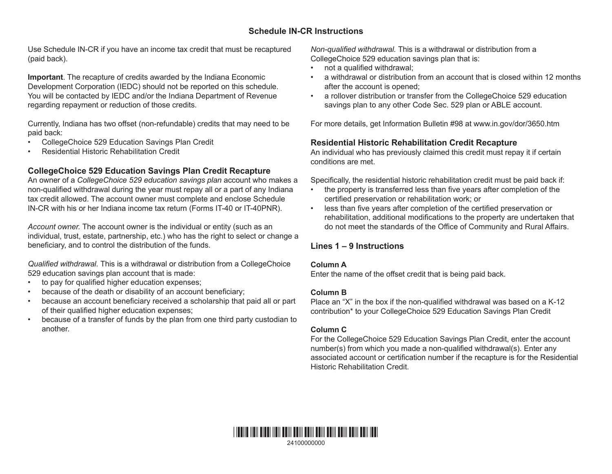# **Schedule IN-CR Instructions**

Use Schedule IN-CR if you have an income tax credit that must be recaptured (paid back).

**Important**. The recapture of credits awarded by the Indiana Economic Development Corporation (IEDC) should not be reported on this schedule. You will be contacted by IEDC and/or the Indiana Department of Revenue regarding repayment or reduction of those credits.

Currently, Indiana has two offset (non-refundable) credits that may need to be paid back:

- CollegeChoice 529 Education Savings Plan Credit
- Residential Historic Rehabilitation Credit

# **CollegeChoice 529 Education Savings Plan Credit Recapture**

An owner of a *CollegeChoice 529 education savings plan* account who makes a non-qualified withdrawal during the year must repay all or a part of any Indiana tax credit allowed. The account owner must complete and enclose Schedule IN-CR with his or her Indiana income tax return (Forms IT-40 or IT-40PNR).

*Account owner.* The account owner is the individual or entity (such as an individual, trust, estate, partnership, etc.) who has the right to select or change a beneficiary, and to control the distribution of the funds.

*Qualified withdrawal.* This is a withdrawal or distribution from a CollegeChoice 529 education savings plan account that is made:

- to pay for qualified higher education expenses;
- because of the death or disability of an account beneficiary;
- because an account beneficiary received a scholarship that paid all or part of their qualified higher education expenses;
- because of a transfer of funds by the plan from one third party custodian to another.

*Non-qualified withdrawal.* This is a withdrawal or distribution from a CollegeChoice 529 education savings plan that is:

- not a qualified withdrawal;
- a withdrawal or distribution from an account that is closed within 12 months after the account is opened;
- a rollover distribution or transfer from the CollegeChoice 529 education savings plan to any other Code Sec. 529 plan or ABLE account.

For more details, get Information Bulletin #98 at www.in.gov/dor/3650.htm

# **Residential Historic Rehabilitation Credit Recapture**

An individual who has previously claimed this credit must repay it if certain conditions are met.

Specifically, the residential historic rehabilitation credit must be paid back if:

- the property is transferred less than five years after completion of the certified preservation or rehabilitation work; or
- less than five years after completion of the certified preservation or rehabilitation, additional modifications to the property are undertaken that do not meet the standards of the Office of Community and Rural Affairs.

# **Lines 1 – 9 Instructions**

#### **Column A**

Enter the name of the offset credit that is being paid back.

#### **Column B**

Place an "X" in the box if the non-qualified withdrawal was based on a K-12 contribution\* to your CollegeChoice 529 Education Savings Plan Credit

#### **Column C**

For the CollegeChoice 529 Education Savings Plan Credit, enter the account number(s) from which you made a non-qualified withdrawal(s). Enter any associated account or certification number if the recapture is for the Residential Historic Rehabilitation Credit.